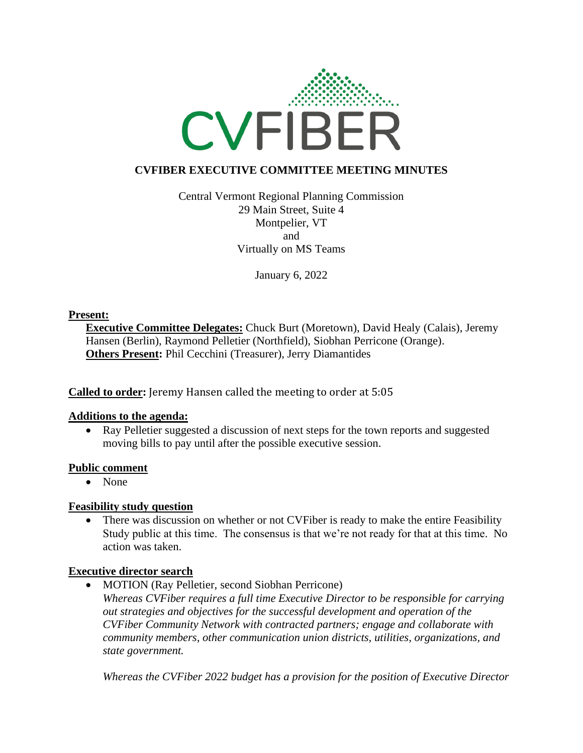

# **CVFIBER EXECUTIVE COMMITTEE MEETING MINUTES**

Central Vermont Regional Planning Commission 29 Main Street, Suite 4 Montpelier, VT and Virtually on MS Teams

January 6, 2022

### **Present:**

**Executive Committee Delegates:** Chuck Burt (Moretown), David Healy (Calais), Jeremy Hansen (Berlin), Raymond Pelletier (Northfield), Siobhan Perricone (Orange). **Others Present:** Phil Cecchini (Treasurer), Jerry Diamantides

**Called to order:** Jeremy Hansen called the meeting to order at 5:05

#### **Additions to the agenda:**

• Ray Pelletier suggested a discussion of next steps for the town reports and suggested moving bills to pay until after the possible executive session.

#### **Public comment**

• None

## **Feasibility study question**

• There was discussion on whether or not CVFiber is ready to make the entire Feasibility Study public at this time. The consensus is that we're not ready for that at this time. No action was taken.

## **Executive director search**

• MOTION (Ray Pelletier, second Siobhan Perricone)

*Whereas CVFiber requires a full time Executive Director to be responsible for carrying out strategies and objectives for the successful development and operation of the CVFiber Community Network with contracted partners; engage and collaborate with community members, other communication union districts, utilities, organizations, and state government.*

*Whereas the CVFiber 2022 budget has a provision for the position of Executive Director*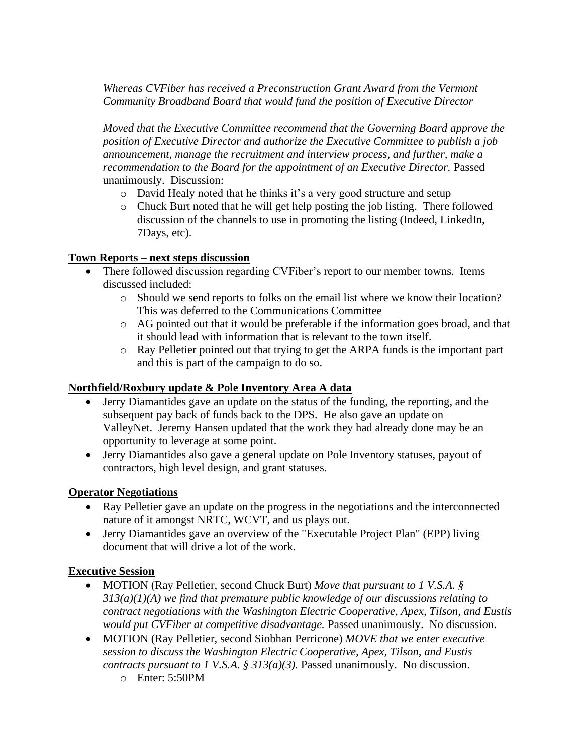*Whereas CVFiber has received a Preconstruction Grant Award from the Vermont Community Broadband Board that would fund the position of Executive Director*

*Moved that the Executive Committee recommend that the Governing Board approve the position of Executive Director and authorize the Executive Committee to publish a job announcement, manage the recruitment and interview process, and further, make a recommendation to the Board for the appointment of an Executive Director.* Passed unanimously. Discussion:

- o David Healy noted that he thinks it's a very good structure and setup
- $\circ$  Chuck Burt noted that he will get help posting the job listing. There followed discussion of the channels to use in promoting the listing (Indeed, LinkedIn, 7Days, etc).

## **Town Reports – next steps discussion**

- There followed discussion regarding CVFiber's report to our member towns. Items discussed included:
	- o Should we send reports to folks on the email list where we know their location? This was deferred to the Communications Committee
	- o AG pointed out that it would be preferable if the information goes broad, and that it should lead with information that is relevant to the town itself.
	- o Ray Pelletier pointed out that trying to get the ARPA funds is the important part and this is part of the campaign to do so.

## **Northfield/Roxbury update & Pole Inventory Area A data**

- Jerry Diamantides gave an update on the status of the funding, the reporting, and the subsequent pay back of funds back to the DPS. He also gave an update on ValleyNet. Jeremy Hansen updated that the work they had already done may be an opportunity to leverage at some point.
- Jerry Diamantides also gave a general update on Pole Inventory statuses, payout of contractors, high level design, and grant statuses.

#### **Operator Negotiations**

- Ray Pelletier gave an update on the progress in the negotiations and the interconnected nature of it amongst NRTC, WCVT, and us plays out.
- Jerry Diamantides gave an overview of the "Executable Project Plan" (EPP) living document that will drive a lot of the work.

## **Executive Session**

- MOTION (Ray Pelletier, second Chuck Burt) *Move that pursuant to 1 V.S.A. § 313(a)(1)(A) we find that premature public knowledge of our discussions relating to contract negotiations with the Washington Electric Cooperative, Apex, Tilson, and Eustis would put CVFiber at competitive disadvantage.* Passed unanimously. No discussion.
- MOTION (Ray Pelletier, second Siobhan Perricone) *MOVE that we enter executive session to discuss the Washington Electric Cooperative, Apex, Tilson, and Eustis contracts pursuant to 1 V.S.A. § 313(a)(3).* Passed unanimously. No discussion.
	- o Enter: 5:50PM